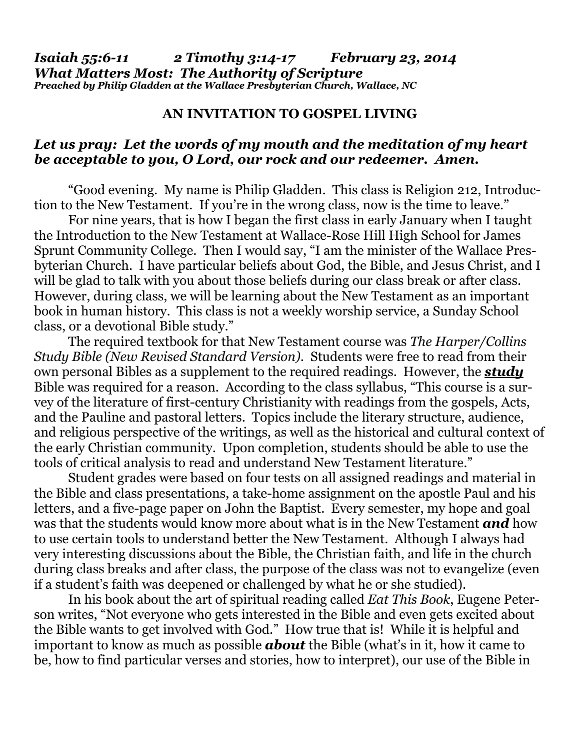## **AN INVITATION TO GOSPEL LIVING**

## *Let us pray: Let the words of my mouth and the meditation of my heart be acceptable to you, O Lord, our rock and our redeemer. Amen.*

"Good evening. My name is Philip Gladden. This class is Religion 212, Introduction to the New Testament. If you're in the wrong class, now is the time to leave."

 For nine years, that is how I began the first class in early January when I taught the Introduction to the New Testament at Wallace-Rose Hill High School for James Sprunt Community College. Then I would say, "I am the minister of the Wallace Presbyterian Church. I have particular beliefs about God, the Bible, and Jesus Christ, and I will be glad to talk with you about those beliefs during our class break or after class. However, during class, we will be learning about the New Testament as an important book in human history. This class is not a weekly worship service, a Sunday School class, or a devotional Bible study."

 The required textbook for that New Testament course was *The Harper/Collins Study Bible (New Revised Standard Version)*. Students were free to read from their own personal Bibles as a supplement to the required readings. However, the *study* Bible was required for a reason. According to the class syllabus, "This course is a survey of the literature of first-century Christianity with readings from the gospels, Acts, and the Pauline and pastoral letters. Topics include the literary structure, audience, and religious perspective of the writings, as well as the historical and cultural context of the early Christian community. Upon completion, students should be able to use the tools of critical analysis to read and understand New Testament literature."

 Student grades were based on four tests on all assigned readings and material in the Bible and class presentations, a take-home assignment on the apostle Paul and his letters, and a five-page paper on John the Baptist. Every semester, my hope and goal was that the students would know more about what is in the New Testament *and* how to use certain tools to understand better the New Testament. Although I always had very interesting discussions about the Bible, the Christian faith, and life in the church during class breaks and after class, the purpose of the class was not to evangelize (even if a student's faith was deepened or challenged by what he or she studied).

 In his book about the art of spiritual reading called *Eat This Book*, Eugene Peterson writes, "Not everyone who gets interested in the Bible and even gets excited about the Bible wants to get involved with God." How true that is! While it is helpful and important to know as much as possible *about* the Bible (what's in it, how it came to be, how to find particular verses and stories, how to interpret), our use of the Bible in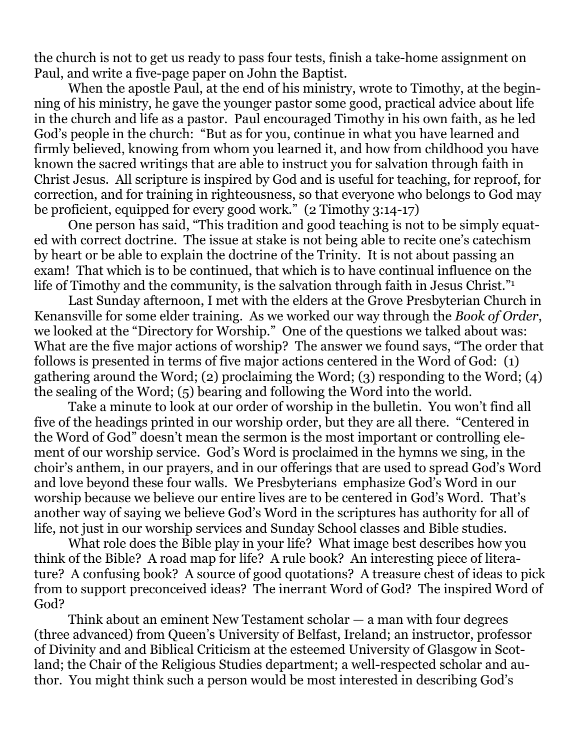the church is not to get us ready to pass four tests, finish a take-home assignment on Paul, and write a five-page paper on John the Baptist.

 When the apostle Paul, at the end of his ministry, wrote to Timothy, at the beginning of his ministry, he gave the younger pastor some good, practical advice about life in the church and life as a pastor. Paul encouraged Timothy in his own faith, as he led God's people in the church: "But as for you, continue in what you have learned and firmly believed, knowing from whom you learned it, and how from childhood you have known the sacred writings that are able to instruct you for salvation through faith in Christ Jesus. All scripture is inspired by God and is useful for teaching, for reproof, for correction, and for training in righteousness, so that everyone who belongs to God may be proficient, equipped for every good work." (2 Timothy 3:14-17)

 One person has said, "This tradition and good teaching is not to be simply equated with correct doctrine. The issue at stake is not being able to recite one's catechism by heart or be able to explain the doctrine of the Trinity. It is not about passing an exam! That which is to be continued, that which is to have continual influence on the life of Timothy and the community, is the salvation through faith in Jesus Christ."<sup>1</sup>

Last Sunday afternoon, I met with the elders at the Grove Presbyterian Church in Kenansville for some elder training. As we worked our way through the *Book of Order*, we looked at the "Directory for Worship." One of the questions we talked about was: What are the five major actions of worship? The answer we found says, "The order that follows is presented in terms of five major actions centered in the Word of God: (1) gathering around the Word; (2) proclaiming the Word; (3) responding to the Word; (4) the sealing of the Word; (5) bearing and following the Word into the world.

 Take a minute to look at our order of worship in the bulletin. You won't find all five of the headings printed in our worship order, but they are all there. "Centered in the Word of God" doesn't mean the sermon is the most important or controlling element of our worship service. God's Word is proclaimed in the hymns we sing, in the choir's anthem, in our prayers, and in our offerings that are used to spread God's Word and love beyond these four walls. We Presbyterians emphasize God's Word in our worship because we believe our entire lives are to be centered in God's Word. That's another way of saying we believe God's Word in the scriptures has authority for all of life, not just in our worship services and Sunday School classes and Bible studies.

 What role does the Bible play in your life? What image best describes how you think of the Bible? A road map for life? A rule book? An interesting piece of literature? A confusing book? A source of good quotations? A treasure chest of ideas to pick from to support preconceived ideas? The inerrant Word of God? The inspired Word of God?

 Think about an eminent New Testament scholar — a man with four degrees (three advanced) from Queen's University of Belfast, Ireland; an instructor, professor of Divinity and and Biblical Criticism at the esteemed University of Glasgow in Scotland; the Chair of the Religious Studies department; a well-respected scholar and author. You might think such a person would be most interested in describing God's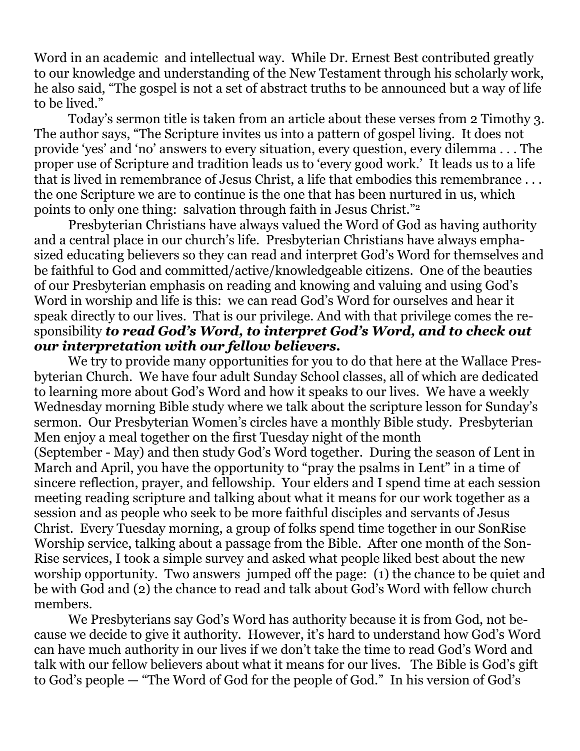Word in an academic and intellectual way. While Dr. Ernest Best contributed greatly to our knowledge and understanding of the New Testament through his scholarly work, he also said, "The gospel is not a set of abstract truths to be announced but a way of life to be lived."

 Today's sermon title is taken from an article about these verses from 2 Timothy 3. The author says, "The Scripture invites us into a pattern of gospel living. It does not provide 'yes' and 'no' answers to every situation, every question, every dilemma . . . The proper use of Scripture and tradition leads us to 'every good work.' It leads us to a life that is lived in remembrance of Jesus Christ, a life that embodies this remembrance . . . the one Scripture we are to continue is the one that has been nurtured in us, which points to only one thing: salvation through faith in Jesus Christ."2

Presbyterian Christians have always valued the Word of God as having authority and a central place in our church's life. Presbyterian Christians have always emphasized educating believers so they can read and interpret God's Word for themselves and be faithful to God and committed/active/knowledgeable citizens. One of the beauties of our Presbyterian emphasis on reading and knowing and valuing and using God's Word in worship and life is this: we can read God's Word for ourselves and hear it speak directly to our lives. That is our privilege. And with that privilege comes the responsibility *to read God's Word, to interpret God's Word, and to check out our interpretation with our fellow believers.* 

We try to provide many opportunities for you to do that here at the Wallace Presbyterian Church. We have four adult Sunday School classes, all of which are dedicated to learning more about God's Word and how it speaks to our lives. We have a weekly Wednesday morning Bible study where we talk about the scripture lesson for Sunday's sermon. Our Presbyterian Women's circles have a monthly Bible study. Presbyterian Men enjoy a meal together on the first Tuesday night of the month (September - May) and then study God's Word together. During the season of Lent in March and April, you have the opportunity to "pray the psalms in Lent" in a time of sincere reflection, prayer, and fellowship. Your elders and I spend time at each session meeting reading scripture and talking about what it means for our work together as a session and as people who seek to be more faithful disciples and servants of Jesus Christ. Every Tuesday morning, a group of folks spend time together in our SonRise Worship service, talking about a passage from the Bible. After one month of the Son-Rise services, I took a simple survey and asked what people liked best about the new worship opportunity. Two answers jumped off the page: (1) the chance to be quiet and be with God and (2) the chance to read and talk about God's Word with fellow church members.

 We Presbyterians say God's Word has authority because it is from God, not because we decide to give it authority. However, it's hard to understand how God's Word can have much authority in our lives if we don't take the time to read God's Word and talk with our fellow believers about what it means for our lives. The Bible is God's gift to God's people — "The Word of God for the people of God." In his version of God's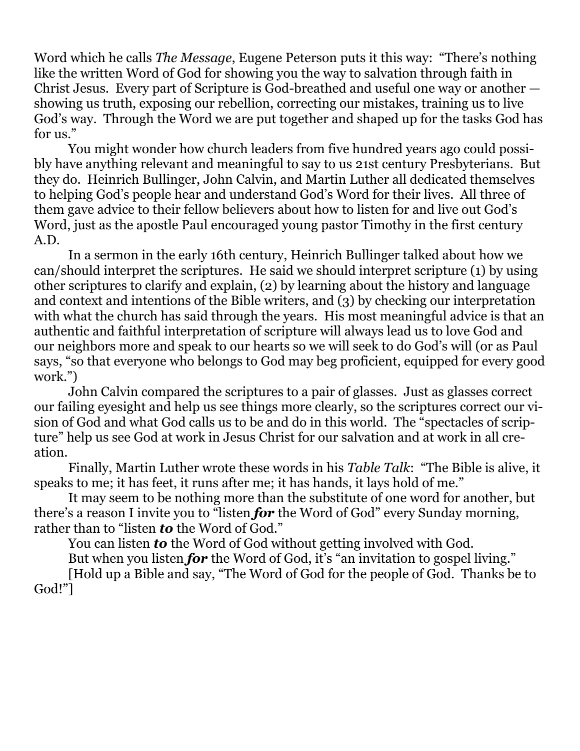Word which he calls *The Message*, Eugene Peterson puts it this way: "There's nothing like the written Word of God for showing you the way to salvation through faith in Christ Jesus. Every part of Scripture is God-breathed and useful one way or another showing us truth, exposing our rebellion, correcting our mistakes, training us to live God's way. Through the Word we are put together and shaped up for the tasks God has for us."

 You might wonder how church leaders from five hundred years ago could possibly have anything relevant and meaningful to say to us 21st century Presbyterians. But they do. Heinrich Bullinger, John Calvin, and Martin Luther all dedicated themselves to helping God's people hear and understand God's Word for their lives. All three of them gave advice to their fellow believers about how to listen for and live out God's Word, just as the apostle Paul encouraged young pastor Timothy in the first century A.D.

 In a sermon in the early 16th century, Heinrich Bullinger talked about how we can/should interpret the scriptures. He said we should interpret scripture (1) by using other scriptures to clarify and explain, (2) by learning about the history and language and context and intentions of the Bible writers, and (3) by checking our interpretation with what the church has said through the years. His most meaningful advice is that an authentic and faithful interpretation of scripture will always lead us to love God and our neighbors more and speak to our hearts so we will seek to do God's will (or as Paul says, "so that everyone who belongs to God may beg proficient, equipped for every good work.")

 John Calvin compared the scriptures to a pair of glasses. Just as glasses correct our failing eyesight and help us see things more clearly, so the scriptures correct our vision of God and what God calls us to be and do in this world. The "spectacles of scripture" help us see God at work in Jesus Christ for our salvation and at work in all creation.

 Finally, Martin Luther wrote these words in his *Table Talk*: "The Bible is alive, it speaks to me; it has feet, it runs after me; it has hands, it lays hold of me."

 It may seem to be nothing more than the substitute of one word for another, but there's a reason I invite you to "listen *for* the Word of God" every Sunday morning, rather than to "listen *to* the Word of God."

You can listen *to* the Word of God without getting involved with God.

 But when you listen *for* the Word of God, it's "an invitation to gospel living." [Hold up a Bible and say, "The Word of God for the people of God. Thanks be to God!"]